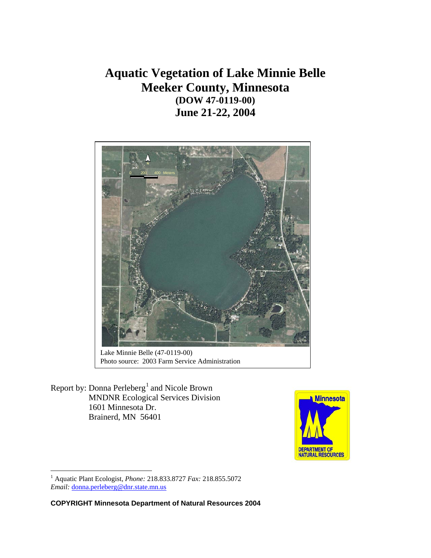**Aquatic Vegetation of Lake Minnie Belle Meeker County, Minnesota (DOW 47-0119-00) June 21-22, 2004** 



Lake Minnie Belle (47-0119-00) Photo source: 2003 Farm Service Administration

Report by: Donna Perleberg<sup>[1](#page-0-0)</sup> and Nicole Brown MNDNR Ecological Services Division 1601 Minnesota Dr. Brainerd, MN 56401



<span id="page-0-0"></span> 1 Aquatic Plant Ecologist, *Phone:* 218.833.8727 *Fax:* 218.855.5072 *Email:* [donna.perleberg@dnr.state.mn.us](mailto:donna.perleberg@dnr.state.mn.us)

**COPYRIGHT Minnesota Department of Natural Resources 2004**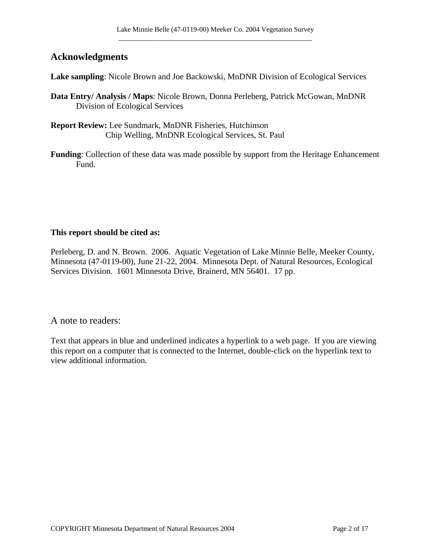## **Acknowledgments**

**Lake sampling**: Nicole Brown and Joe Backowski, MnDNR Division of Ecological Services

- **Data Entry/ Analysis / Maps**: Nicole Brown, Donna Perleberg, Patrick McGowan, MnDNR Division of Ecological Services
- **Report Review:** Lee Sundmark, MnDNR Fisheries, Hutchinson Chip Welling, MnDNR Ecological Services, St. Paul
- **Funding**: Collection of these data was made possible by support from the Heritage Enhancement Fund.

#### **This report should be cited as:**

Perleberg, D. and N. Brown. 2006. Aquatic Vegetation of Lake Minnie Belle, Meeker County, Minnesota (47-0119-00), June 21-22, 2004. Minnesota Dept. of Natural Resources, Ecological Services Division. 1601 Minnesota Drive, Brainerd, MN 56401. 17 pp.

A note to readers:

Text that appears in blue and underlined indicates a hyperlink to a web page. If you are viewing this report on a computer that is connected to the Internet, double-click on the hyperlink text to view additional information.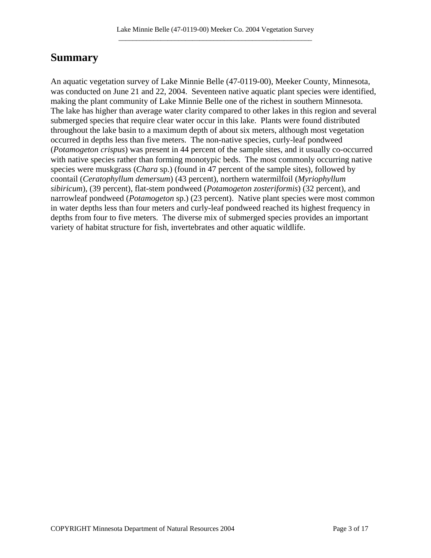# **Summary**

An aquatic vegetation survey of Lake Minnie Belle (47-0119-00), Meeker County, Minnesota, was conducted on June 21 and 22, 2004. Seventeen native aquatic plant species were identified, making the plant community of Lake Minnie Belle one of the richest in southern Minnesota. The lake has higher than average water clarity compared to other lakes in this region and several submerged species that require clear water occur in this lake. Plants were found distributed throughout the lake basin to a maximum depth of about six meters, although most vegetation occurred in depths less than five meters. The non-native species, curly-leaf pondweed (*Potamogeton crispus*) was present in 44 percent of the sample sites, and it usually co-occurred with native species rather than forming monotypic beds. The most commonly occurring native species were muskgrass (*Chara* sp.) (found in 47 percent of the sample sites), followed by coontail (*Ceratophyllum demersum*) (43 percent), northern watermilfoil (*Myriophyllum sibiricum*), (39 percent), flat-stem pondweed (*Potamogeton zosteriformis*) (32 percent), and narrowleaf pondweed (*Potamogeton* sp.) (23 percent). Native plant species were most common in water depths less than four meters and curly-leaf pondweed reached its highest frequency in depths from four to five meters. The diverse mix of submerged species provides an important variety of habitat structure for fish, invertebrates and other aquatic wildlife.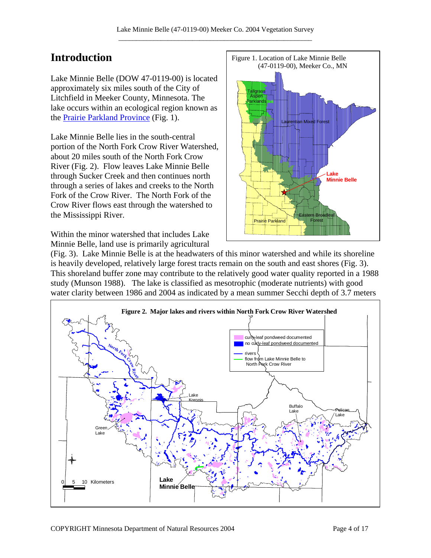## **Introduction**

Lake Minnie Belle (DOW 47-0119-00) is located approximately six miles south of the City of Litchfield in Meeker County, Minnesota. The lake occurs within an ecological region known as the [Prairie Parkland Province](http://www.dnr.state.mn.us/ecs/index.html) (Fig. 1).

Lake Minnie Belle lies in the south-central portion of the North Fork Crow River Watershed, about 20 miles south of the North Fork Crow River (Fig. 2). Flow leaves Lake Minnie Belle through Sucker Creek and then continues north through a series of lakes and creeks to the North Fork of the Crow River. The North Fork of the Crow River flows east through the watershed to the Mississippi River.

Within the minor watershed that includes Lake Minnie Belle, land use is primarily agricultural



(Fig. 3). Lake Minnie Belle is at the headwaters of this minor watershed and while its shoreline is heavily developed, relatively large forest tracts remain on the south and east shores (Fig. 3). This shoreland buffer zone may contribute to the relatively good water quality reported in a 1988 study (Munson 1988). The lake is classified as mesotrophic (moderate nutrients) with good water clarity between 1986 and 2004 as indicated by a mean summer Secchi depth of 3.7 meters

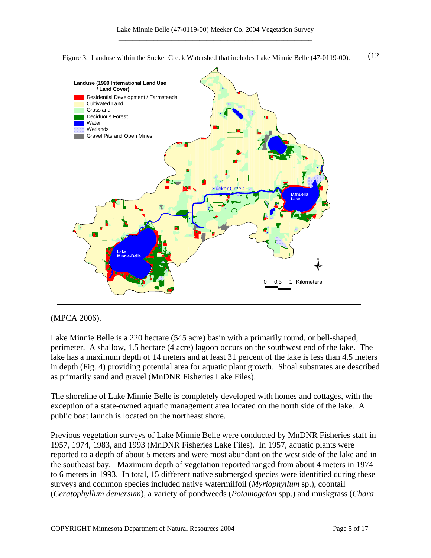

#### (MPCA 2006).

Lake Minnie Belle is a 220 hectare (545 acre) basin with a primarily round, or bell-shaped, perimeter. A shallow, 1.5 hectare (4 acre) lagoon occurs on the southwest end of the lake. The lake has a maximum depth of 14 meters and at least 31 percent of the lake is less than 4.5 meters in depth (Fig. 4) providing potential area for aquatic plant growth. Shoal substrates are described as primarily sand and gravel (MnDNR Fisheries Lake Files).

The shoreline of Lake Minnie Belle is completely developed with homes and cottages, with the exception of a state-owned aquatic management area located on the north side of the lake. A public boat launch is located on the northeast shore.

Previous vegetation surveys of Lake Minnie Belle were conducted by MnDNR Fisheries staff in 1957, 1974, 1983, and 1993 (MnDNR Fisheries Lake Files). In 1957, aquatic plants were reported to a depth of about 5 meters and were most abundant on the west side of the lake and in the southeast bay. Maximum depth of vegetation reported ranged from about 4 meters in 1974 to 6 meters in 1993. In total, 15 different native submerged species were identified during these surveys and common species included native watermilfoil (*Myriophyllum* sp.), coontail (*Ceratophyllum demersum*), a variety of pondweeds (*Potamogeton* spp.) and muskgrass (*Chara*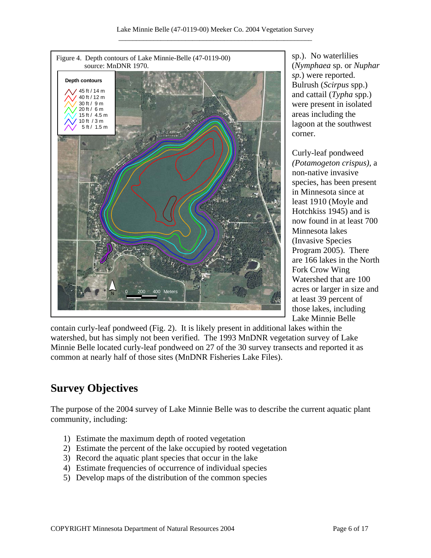

sp.). No waterlilies (*Nymphaea* sp. or *Nuphar sp.*) were reported. Bulrush (*Scirpus* spp.) and cattail (*Typha* spp.) were present in isolated areas including the lagoon at the southwest corner.

Curly-leaf pondweed *(Potamogeton crispus),* a non-native invasive species, has been present in Minnesota since at least 1910 (Moyle and Hotchkiss 1945) and is now found in at least 700 Minnesota lakes (Invasive Species Program 2005). There are 166 lakes in the North Fork Crow Wing Watershed that are 100 acres or larger in size and at least 39 percent of those lakes, including Lake Minnie Belle

contain curly-leaf pondweed (Fig. 2). It is likely present in additional lakes within the watershed, but has simply not been verified. The 1993 MnDNR vegetation survey of Lake Minnie Belle located curly-leaf pondweed on 27 of the 30 survey transects and reported it as common at nearly half of those sites (MnDNR Fisheries Lake Files).

# **Survey Objectives**

The purpose of the 2004 survey of Lake Minnie Belle was to describe the current aquatic plant community, including:

- 1) Estimate the maximum depth of rooted vegetation
- 2) Estimate the percent of the lake occupied by rooted vegetation
- 3) Record the aquatic plant species that occur in the lake
- 4) Estimate frequencies of occurrence of individual species
- 5) Develop maps of the distribution of the common species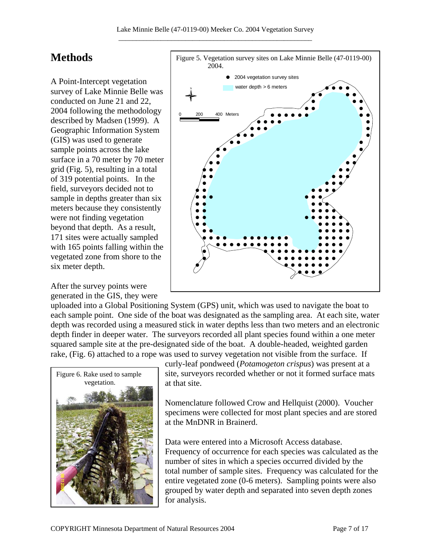# **Methods**

A Point-Intercept vegetation survey of Lake Minnie Belle was conducted on June 21 and 22, 2004 following the methodology described by Madsen (1999). A Geographic Information System (GIS) was used to generate sample points across the lake surface in a 70 meter by 70 meter grid (Fig. 5), resulting in a total of 319 potential points. In the field, surveyors decided not to sample in depths greater than six meters because they consistently were not finding vegetation beyond that depth. As a result, 171 sites were actually sampled with 165 points falling within the vegetated zone from shore to the six meter depth.

After the survey points were generated in the GIS, they were



uploaded into a Global Positioning System (GPS) unit, which was used to navigate the boat to each sample point. One side of the boat was designated as the sampling area. At each site, water depth was recorded using a measured stick in water depths less than two meters and an electronic depth finder in deeper water. The surveyors recorded all plant species found within a one meter squared sample site at the pre-designated side of the boat. A double-headed, weighted garden rake, (Fig. 6) attached to a rope was used to survey vegetation not visible from the surface. If



curly-leaf pondweed (*Potamogeton crispus*) was present at a site, surveyors recorded whether or not it formed surface mats at that site.

Nomenclature followed Crow and Hellquist (2000). Voucher specimens were collected for most plant species and are stored at the MnDNR in Brainerd.

Data were entered into a Microsoft Access database. Frequency of occurrence for each species was calculated as the number of sites in which a species occurred divided by the total number of sample sites. Frequency was calculated for the entire vegetated zone (0-6 meters). Sampling points were also grouped by water depth and separated into seven depth zones for analysis.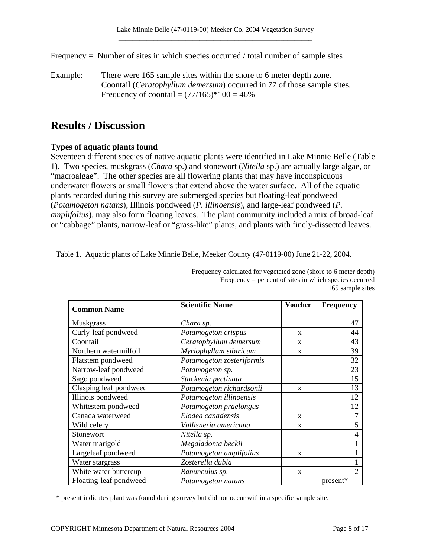Frequency = Number of sites in which species occurred / total number of sample sites

Example: There were 165 sample sites within the shore to 6 meter depth zone. Coontail (*Ceratophyllum demersum*) occurred in 77 of those sample sites. Frequency of coontail =  $(77/165)$ <sup>\*</sup> $100 = 46%$ 

## **Results / Discussion**

### **Types of aquatic plants found**

Seventeen different species of native aquatic plants were identified in Lake Minnie Belle (Table 1). Two species, muskgrass (*Chara* sp.) and stonewort (*Nitella* sp.) are actually large algae, or "macroalgae". The other species are all flowering plants that may have inconspicuous underwater flowers or small flowers that extend above the water surface. All of the aquatic plants recorded during this survey are submerged species but floating-leaf pondweed (*Potamogeton natans*), Illinois pondweed (*P. illinoensis*), and large-leaf pondweed (*P. amplifolius*), may also form floating leaves. The plant community included a mix of broad-leaf or "cabbage" plants, narrow-leaf or "grass-like" plants, and plants with finely-dissected leaves.

|                        | Frequency calculated for vegetated zone (shore to 6 meter depth)<br>Frequency = percent of sites in which species occurred<br>165 sample sites |                |                          |
|------------------------|------------------------------------------------------------------------------------------------------------------------------------------------|----------------|--------------------------|
| <b>Common Name</b>     | <b>Scientific Name</b>                                                                                                                         | <b>Voucher</b> | <b>Frequency</b>         |
| <b>Muskgrass</b>       | Chara sp.                                                                                                                                      |                | 47                       |
| Curly-leaf pondweed    | Potamogeton crispus                                                                                                                            | $\mathbf{x}$   | 44                       |
| Coontail               | Ceratophyllum demersum                                                                                                                         | $\mathbf{x}$   | 43                       |
| Northern watermilfoil  | Myriophyllum sibiricum                                                                                                                         | $\mathbf{x}$   | 39                       |
| Flatstem pondweed      | Potamogeton zosteriformis                                                                                                                      |                | 32                       |
| Narrow-leaf pondweed   | Potamogeton sp.                                                                                                                                |                | 23                       |
| Sago pondweed          | Stuckenia pectinata                                                                                                                            |                | 15                       |
| Clasping leaf pondweed | Potamogeton richardsonii                                                                                                                       | $\mathbf{x}$   | 13                       |
| Illinois pondweed      | Potamogeton illinoensis                                                                                                                        |                | 12                       |
| Whitestem pondweed     | Potamogeton praelongus                                                                                                                         |                | 12                       |
| Canada waterweed       | Elodea canadensis                                                                                                                              | X              | $\overline{7}$           |
| Wild celery            | Vallisneria americana                                                                                                                          | $\mathbf{x}$   | 5                        |
| Stonewort              | Nitella sp.                                                                                                                                    |                | $\overline{\mathcal{L}}$ |
| Water marigold         | Megaladonta beckii                                                                                                                             |                | $\mathbf{1}$             |
| Largeleaf pondweed     | Potamogeton amplifolius                                                                                                                        | X              | $\mathbf{1}$             |
| Water stargrass        | Zosterella dubia                                                                                                                               |                | $\mathbf{1}$             |
| White water buttercup  | Ranunculus sp.                                                                                                                                 | X              | $\overline{2}$           |
| Floating-leaf pondweed | Potamogeton natans                                                                                                                             |                | present*                 |

\* present indicates plant was found during survey but did not occur within a specific sample site.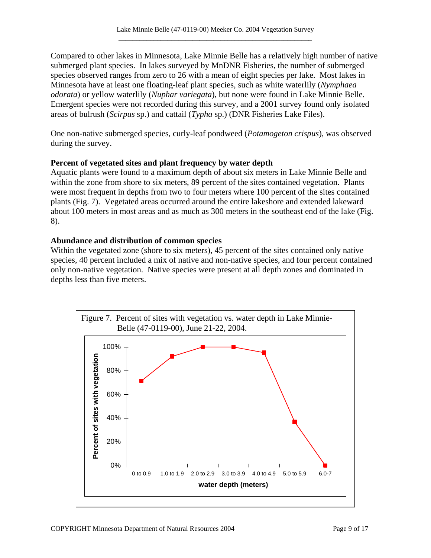Compared to other lakes in Minnesota, Lake Minnie Belle has a relatively high number of native submerged plant species. In lakes surveyed by MnDNR Fisheries, the number of submerged species observed ranges from zero to 26 with a mean of eight species per lake. Most lakes in Minnesota have at least one floating-leaf plant species, such as white waterlily (*Nymphaea odorata*) or yellow waterlily (*Nuphar variegata*), but none were found in Lake Minnie Belle. Emergent species were not recorded during this survey, and a 2001 survey found only isolated areas of bulrush (*Scirpus* sp.) and cattail (*Typha* sp.) (DNR Fisheries Lake Files).

One non-native submerged species, curly-leaf pondweed (*Potamogeton crispus*), was observed during the survey.

#### **Percent of vegetated sites and plant frequency by water depth**

Aquatic plants were found to a maximum depth of about six meters in Lake Minnie Belle and within the zone from shore to six meters, 89 percent of the sites contained vegetation. Plants were most frequent in depths from two to four meters where 100 percent of the sites contained plants (Fig. 7). Vegetated areas occurred around the entire lakeshore and extended lakeward about 100 meters in most areas and as much as 300 meters in the southeast end of the lake (Fig. 8).

#### **Abundance and distribution of common species**

Within the vegetated zone (shore to six meters), 45 percent of the sites contained only native species, 40 percent included a mix of native and non-native species, and four percent contained only non-native vegetation. Native species were present at all depth zones and dominated in depths less than five meters.

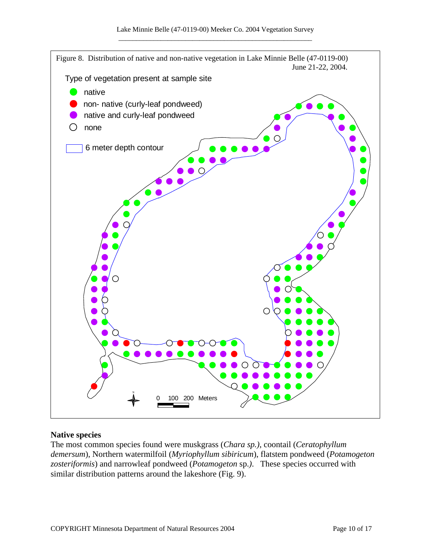

#### **Native species**

The most common species found were muskgrass (*Chara sp.)*, coontail (*Ceratophyllum demersum*), Northern watermilfoil (*Myriophyllum sibiricum*), flatstem pondweed (*Potamogeton zosteriformis*) and narrowleaf pondweed (*Potamogeton* sp.*)*. These species occurred with similar distribution patterns around the lakeshore (Fig. 9).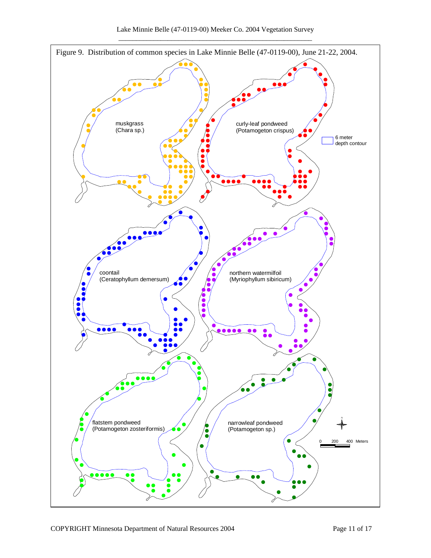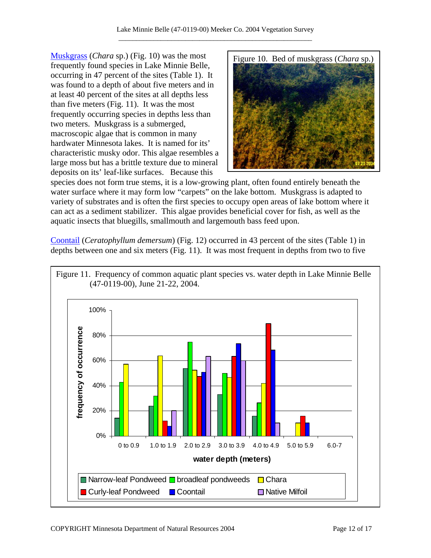[Muskgrass](http://www.dnr.state.mn.us/aquatic_plants/algae/chara.html) (*Chara* sp.) (Fig. 10) was the most frequently found species in Lake Minnie Belle, occurring in 47 percent of the sites (Table 1). It was found to a depth of about five meters and in at least 40 percent of the sites at all depths less than five meters (Fig. 11). It was the most frequently occurring species in depths less than two meters. Muskgrass is a submerged, macroscopic algae that is common in many hardwater Minnesota lakes. It is named for its' characteristic musky odor. This algae resembles a large moss but has a brittle texture due to mineral deposits on its' leaf-like surfaces. Because this



species does not form true stems, it is a low-growing plant, often found entirely beneath the water surface where it may form low "carpets" on the lake bottom. Muskgrass is adapted to variety of substrates and is often the first species to occupy open areas of lake bottom where it can act as a sediment stabilizer. This algae provides beneficial cover for fish, as well as the aquatic insects that bluegills, smallmouth and largemouth bass feed upon.

[Coontail](http://www.dnr.state.mn.us/aquatic_plants/submerged_plants/coontail.html) (*Ceratophyllum demersum*) (Fig. 12) occurred in 43 percent of the sites (Table 1) in depths between one and six meters (Fig. 11). It was most frequent in depths from two to five

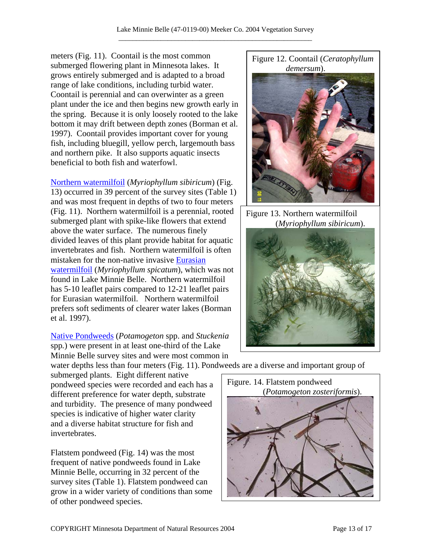meters (Fig. 11). Coontail is the most common submerged flowering plant in Minnesota lakes. It grows entirely submerged and is adapted to a broad range of lake conditions, including turbid water. Coontail is perennial and can overwinter as a green plant under the ice and then begins new growth early in the spring. Because it is only loosely rooted to the lake bottom it may drift between depth zones (Borman et al. 1997). Coontail provides important cover for young fish, including bluegill, yellow perch, largemouth bass and northern pike. It also supports aquatic insects beneficial to both fish and waterfowl.

### [Northern watermilfoil](http://www.dnr.state.mn.us/aquatic_plants/submerged_plants/northern_watermilfoil.html) (*Myriophyllum sibiricum*) (Fig.

13) occurred in 39 percent of the survey sites (Table 1) and was most frequent in depths of two to four meters (Fig. 11). Northern watermilfoil is a perennial, rooted submerged plant with spike-like flowers that extend above the water surface. The numerous finely divided leaves of this plant provide habitat for aquatic invertebrates and fish. Northern watermilfoil is often mistaken for the non-native invasive [Eurasian](http://www.dnr.state.mn.us/invasives/aquaticplants/milfoil/index.html)  [watermilfoil](http://www.dnr.state.mn.us/invasives/aquaticplants/milfoil/index.html) (*Myriophyllum spicatum*), which was not found in Lake Minnie Belle. Northern watermilfoil has 5-10 leaflet pairs compared to 12-21 leaflet pairs for Eurasian watermilfoil. Northern watermilfoil prefers soft sediments of clearer water lakes (Borman et al. 1997).

[Native Pondweeds](http://www.dnr.state.mn.us/aquatic_plants/submerged_plants/narrowleaf_pondweeds.html) (*Potamogeton* spp. and *Stuckenia*  spp*.*) were present in at least one-third of the Lake Minnie Belle survey sites and were most common in

water depths less than four meters (Fig. 11). Pondweeds are a diverse and important group of submerged plants. Eight different native pondweed species were recorded and each has a different preference for water depth, substrate and turbidity. The presence of many pondweed species is indicative of higher water clarity and a diverse habitat structure for fish and invertebrates.

Flatstem pondweed (Fig. 14) was the most frequent of native pondweeds found in Lake Minnie Belle, occurring in 32 percent of the survey sites (Table 1). Flatstem pondweed can grow in a wider variety of conditions than some of other pondweed species.





Figure 13. Northern watermilfoil (*Myriophyllum sibiricum*).



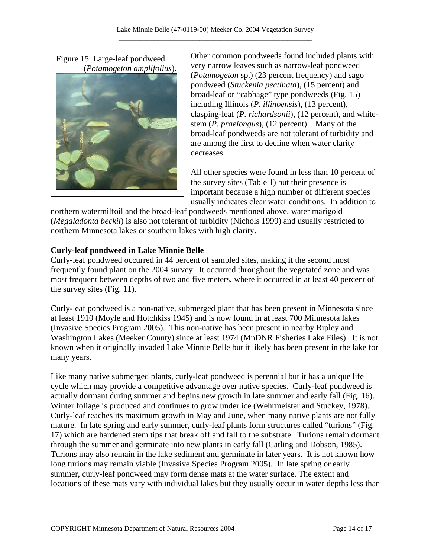

Other common pondweeds found included plants with very narrow leaves such as narrow-leaf pondweed (*Potamogeton* sp.) (23 percent frequency) and sago pondweed (*Stuckenia pectinata*), (15 percent) and broad-leaf or "cabbage" type pondweeds (Fig. 15) including Illinois (*P. illinoensis*), (13 percent), clasping-leaf (*P. richardsonii*), (12 percent), and whitestem (*P. praelongus*), (12 percent). Many of the broad-leaf pondweeds are not tolerant of turbidity and are among the first to decline when water clarity decreases.

All other species were found in less than 10 percent of the survey sites (Table 1) but their presence is important because a high number of different species usually indicates clear water conditions. In addition to

northern watermilfoil and the broad-leaf pondweeds mentioned above, water marigold (*Megaladonta beckii*) is also not tolerant of turbidity (Nichols 1999) and usually restricted to northern Minnesota lakes or southern lakes with high clarity.

### **Curly-leaf pondweed in Lake Minnie Belle**

Curly-leaf pondweed occurred in 44 percent of sampled sites, making it the second most frequently found plant on the 2004 survey. It occurred throughout the vegetated zone and was most frequent between depths of two and five meters, where it occurred in at least 40 percent of the survey sites (Fig. 11).

Curly-leaf pondweed is a non-native, submerged plant that has been present in Minnesota since at least 1910 (Moyle and Hotchkiss 1945) and is now found in at least 700 Minnesota lakes (Invasive Species Program 2005). This non-native has been present in nearby Ripley and Washington Lakes (Meeker County) since at least 1974 (MnDNR Fisheries Lake Files). It is not known when it originally invaded Lake Minnie Belle but it likely has been present in the lake for many years.

Like many native submerged plants, curly-leaf pondweed is perennial but it has a unique life cycle which may provide a competitive advantage over native species. Curly-leaf pondweed is actually dormant during summer and begins new growth in late summer and early fall (Fig. 16). Winter foliage is produced and continues to grow under ice (Wehrmeister and Stuckey, 1978). Curly-leaf reaches its maximum growth in May and June, when many native plants are not fully mature. In late spring and early summer, curly-leaf plants form structures called "turions" (Fig. 17) which are hardened stem tips that break off and fall to the substrate. Turions remain dormant through the summer and germinate into new plants in early fall (Catling and Dobson, 1985). Turions may also remain in the lake sediment and germinate in later years. It is not known how long turions may remain viable (Invasive Species Program 2005). In late spring or early summer, curly-leaf pondweed may form dense mats at the water surface. The extent and locations of these mats vary with individual lakes but they usually occur in water depths less than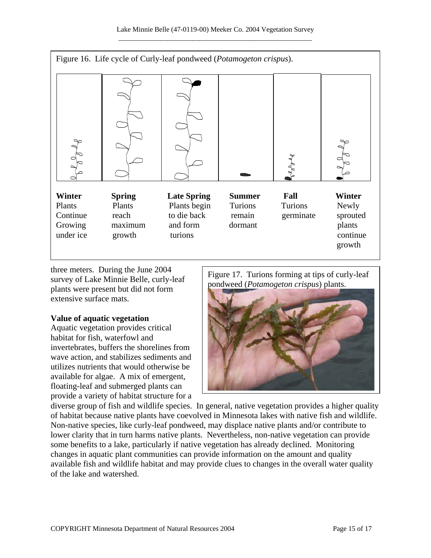

three meters. During the June 2004 survey of Lake Minnie Belle, curly-leaf plants were present but did not form extensive surface mats.

#### **Value of aquatic vegetation**

Aquatic vegetation provides critical habitat for fish, waterfowl and invertebrates, buffers the shorelines from wave action, and stabilizes sediments and utilizes nutrients that would otherwise be available for algae. A mix of emergent, floating-leaf and submerged plants can provide a variety of habitat structure for a Figure 17. Turions forming at tips of curly-leaf pondweed (*Potamogeton crispus*) plants.



diverse group of fish and wildlife species. In general, native vegetation provides a higher quality of habitat because native plants have coevolved in Minnesota lakes with native fish and wildlife. Non-native species, like curly-leaf pondweed, may displace native plants and/or contribute to lower clarity that in turn harms native plants. Nevertheless, non-native vegetation can provide some benefits to a lake, particularly if native vegetation has already declined. Monitoring changes in aquatic plant communities can provide information on the amount and quality available fish and wildlife habitat and may provide clues to changes in the overall water quality of the lake and watershed.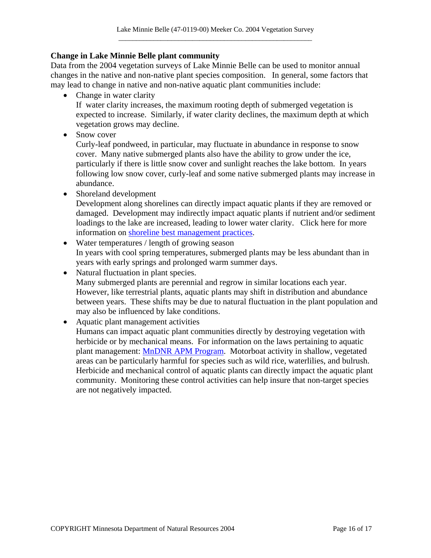#### **Change in Lake Minnie Belle plant community**

Data from the 2004 vegetation surveys of Lake Minnie Belle can be used to monitor annual changes in the native and non-native plant species composition. In general, some factors that may lead to change in native and non-native aquatic plant communities include:

• Change in water clarity

If water clarity increases, the maximum rooting depth of submerged vegetation is expected to increase. Similarly, if water clarity declines, the maximum depth at which vegetation grows may decline.

• Snow cover

Curly-leaf pondweed, in particular, may fluctuate in abundance in response to snow cover. Many native submerged plants also have the ability to grow under the ice, particularly if there is little snow cover and sunlight reaches the lake bottom. In years following low snow cover, curly-leaf and some native submerged plants may increase in abundance.

• Shoreland development

Development along shorelines can directly impact aquatic plants if they are removed or damaged. Development may indirectly impact aquatic plants if nutrient and/or sediment loadings to the lake are increased, leading to lower water clarity. Click here for more information on [shoreline best management practices.](http://www.dnr.state.mn.us/shorelandmgmt/guide/waterquality.html)

- Water temperatures / length of growing season In years with cool spring temperatures, submerged plants may be less abundant than in years with early springs and prolonged warm summer days.
- Natural fluctuation in plant species. Many submerged plants are perennial and regrow in similar locations each year. However, like terrestrial plants, aquatic plants may shift in distribution and abundance between years. These shifts may be due to natural fluctuation in the plant population and may also be influenced by lake conditions.
- Aquatic plant management activities
	- Humans can impact aquatic plant communities directly by destroying vegetation with herbicide or by mechanical means. For information on the laws pertaining to aquatic plant management: [MnDNR APM Program.](http://www.dnr.state.mn.us/ecological_services/apm/index.html) Motorboat activity in shallow, vegetated areas can be particularly harmful for species such as wild rice, waterlilies, and bulrush. Herbicide and mechanical control of aquatic plants can directly impact the aquatic plant community. Monitoring these control activities can help insure that non-target species are not negatively impacted.